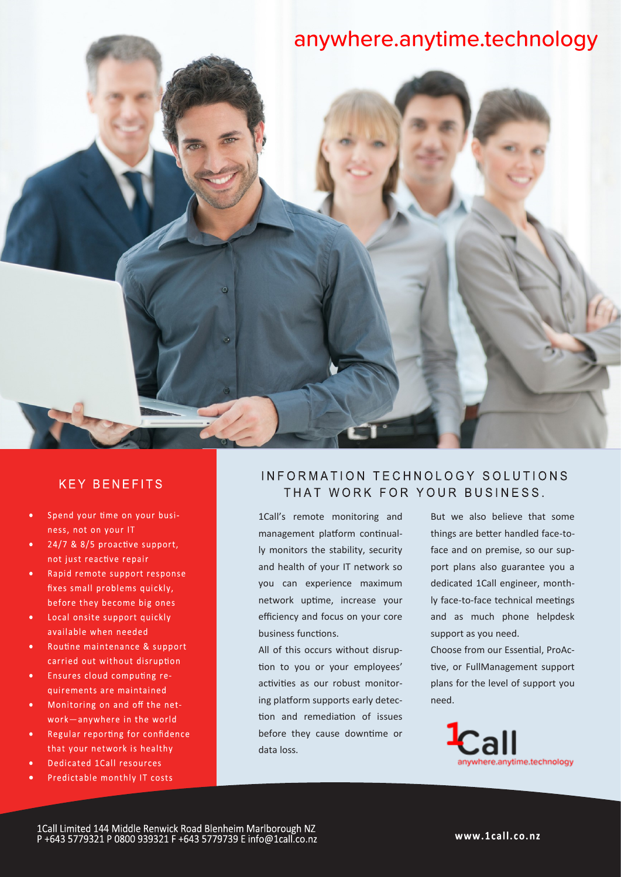## anywhere.anytime.technology



- Spend your time on your busi- $\bullet$ ness, not on your IT
- 24/7 & 8/5 proactive support,  $\bullet$ not just reactive repair
- $\bullet$  . Rapid remote support response fixes small problems quickly, before they become big ones
- Local onsite support quickly available when needed
- $\bullet$ Routine maintenance & support carried out without disruption
- Ensures cloud computing requirements are maintained
- Monitoring on and off the net- $\bullet$  . work-anywhere in the world
- Regular reporting for confidence that your network is healthy
- Dedicated 1Call resources
- Predictable monthly IT costs

## INFORMATION TECHNOLOGY SOLUTIONS THAT WORK FOR YOUR BUSINESS.

1Call's remote monitoring and management platform continually monitors the stability, security and health of your IT network so you can experience maximum network uptime, increase your efficiency and focus on your core business functions.

All of this occurs without disruption to you or your employees' activities as our robust monitoring platform supports early detection and remediation of issues before they cause downtime or data loss.

But we also believe that some things are better handled face-toface and on premise, so our support plans also guarantee you a dedicated 1Call engineer, monthly face-to-face technical meetings and as much phone helpdesk support as you need.

Choose from our Essential, ProActive, or FullManagement support plans for the level of support you need.